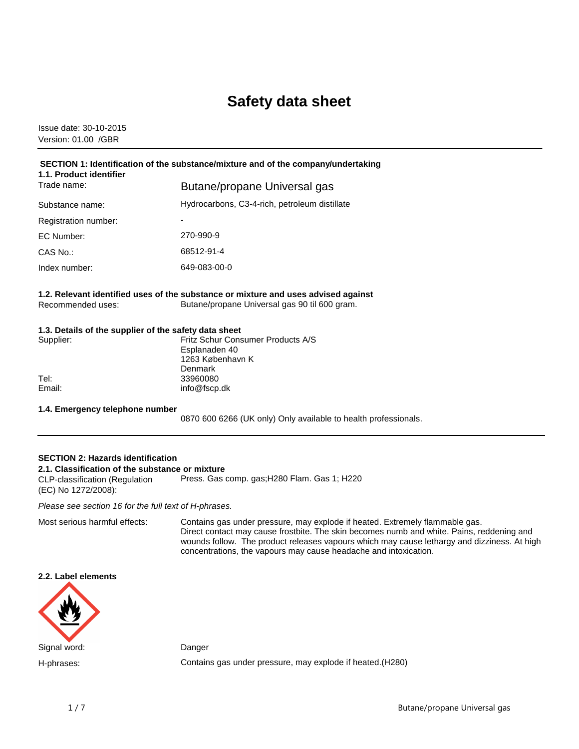# **Safety data sheet**

Issue date: 30-10-2015 Version: 01.00 /GBR

| SECTION 1: Identification of the substance/mixture and of the company/undertaking<br>1.1. Product identifier |                                               |  |
|--------------------------------------------------------------------------------------------------------------|-----------------------------------------------|--|
| Trade name:                                                                                                  | Butane/propane Universal gas                  |  |
| Substance name:                                                                                              | Hydrocarbons, C3-4-rich, petroleum distillate |  |
| Registration number:                                                                                         | $\overline{\phantom{0}}$                      |  |
| EC Number:                                                                                                   | 270-990-9                                     |  |
| CAS No.:                                                                                                     | 68512-91-4                                    |  |
| Index number:                                                                                                | 649-083-00-0                                  |  |

**1.2. Relevant identified uses of the substance or mixture and uses advised against** Recommended uses: Butane/propane Universal gas 90 til 600 gram.

## **1.3. Details of the supplier of the safety data sheet**

| Supplier: | Fritz Schur Consumer Products A/S<br>Esplanaden 40 |
|-----------|----------------------------------------------------|
|           | 1263 København K                                   |
|           | Denmark                                            |
| Tel:      | 33960080                                           |
| Email:    | info@fscp.dk                                       |
|           |                                                    |

#### **1.4. Emergency telephone number**

0870 600 6266 (UK only) Only available to health professionals.

# **SECTION 2: Hazards identification 2.1. Classification of the substance or mixture**

CLP-classification (Regulation (EC) No 1272/2008): Press. Gas comp. gas;H280 Flam. Gas 1; H220

Please see section 16 for the full text of H-phrases.

Most serious harmful effects: Contains gas under pressure, may explode if heated. Extremely flammable gas. Direct contact may cause frostbite. The skin becomes numb and white. Pains, reddening and wounds follow. The product releases vapours which may cause lethargy and dizziness. At high concentrations, the vapours may cause headache and intoxication.

# **2.2. Label elements**



H-phrases: Contains gas under pressure, may explode if heated.(H280)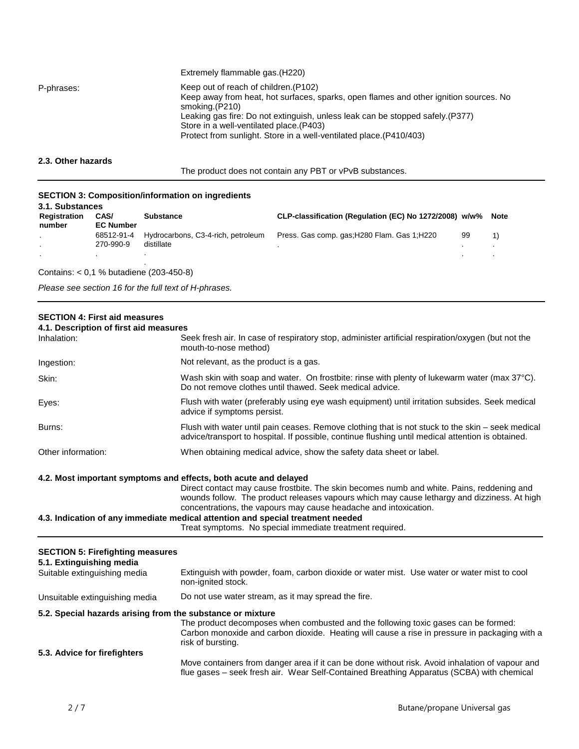|            | Extremely flammable gas. (H220)                                                                                                                                                                                                                                                                                                                      |
|------------|------------------------------------------------------------------------------------------------------------------------------------------------------------------------------------------------------------------------------------------------------------------------------------------------------------------------------------------------------|
| P-phrases: | Keep out of reach of children. (P102)<br>Keep away from heat, hot surfaces, sparks, open flames and other ignition sources. No<br>smoking.(P210)<br>Leaking gas fire: Do not extinguish, unless leak can be stopped safely.(P377)<br>Store in a well-ventilated place. (P403)<br>Protect from sunlight. Store in a well-ventilated place. (P410/403) |

**2.3. Other hazards**

The product does not contain any PBT or vPvB substances.

## **SECTION 3: Composition/information on ingredients**

| 3.1. Substances        |                          |                                                  |                                                             |    |  |
|------------------------|--------------------------|--------------------------------------------------|-------------------------------------------------------------|----|--|
| Registration<br>number | CAS/<br><b>EC Number</b> | <b>Substance</b>                                 | CLP-classification (Regulation (EC) No 1272/2008) w/w% Note |    |  |
|                        | 68512-91-4<br>270-990-9  | Hydrocarbons, C3-4-rich, petroleum<br>distillate | Press. Gas comp. gas; H280 Flam. Gas 1; H220                | 99 |  |
|                        |                          |                                                  |                                                             |    |  |

Contains: < 0,1 % butadiene (203-450-8)

Please see section 16 for the full text of H-phrases.

# **SECTION 4: First aid measures**

| 4.1. Description of first aid measures                              |                                                                                                                                                                                                                                                                                                                |
|---------------------------------------------------------------------|----------------------------------------------------------------------------------------------------------------------------------------------------------------------------------------------------------------------------------------------------------------------------------------------------------------|
| Inhalation:                                                         | Seek fresh air. In case of respiratory stop, administer artificial respiration/oxygen (but not the<br>mouth-to-nose method)                                                                                                                                                                                    |
| Ingestion:                                                          | Not relevant, as the product is a gas.                                                                                                                                                                                                                                                                         |
| Skin:                                                               | Wash skin with soap and water. On frostbite: rinse with plenty of lukewarm water (max 37°C).<br>Do not remove clothes until thawed. Seek medical advice.                                                                                                                                                       |
| Eyes:                                                               | Flush with water (preferably using eye wash equipment) until irritation subsides. Seek medical<br>advice if symptoms persist.                                                                                                                                                                                  |
| Burns:                                                              | Flush with water until pain ceases. Remove clothing that is not stuck to the skin – seek medical<br>advice/transport to hospital. If possible, continue flushing until medical attention is obtained.                                                                                                          |
| Other information:                                                  | When obtaining medical advice, show the safety data sheet or label.                                                                                                                                                                                                                                            |
|                                                                     | wounds follow. The product releases vapours which may cause lethargy and dizziness. At high<br>concentrations, the vapours may cause headache and intoxication.<br>4.3. Indication of any immediate medical attention and special treatment needed<br>Treat symptoms. No special immediate treatment required. |
| <b>SECTION 5: Firefighting measures</b><br>5.1. Extinguishing media |                                                                                                                                                                                                                                                                                                                |
| Suitable extinguishing media                                        | Extinguish with powder, foam, carbon dioxide or water mist. Use water or water mist to cool<br>non-ignited stock.                                                                                                                                                                                              |
| Unsuitable extinguishing media                                      | Do not use water stream, as it may spread the fire.                                                                                                                                                                                                                                                            |
| 5.2. Special hazards arising from the substance or mixture          | The product decomposes when combusted and the following toxic gases can be formed:<br>Carbon monoxide and carbon dioxide. Heating will cause a rise in pressure in packaging with a<br>risk of bursting.                                                                                                       |
| 5.3. Advice for firefighters                                        |                                                                                                                                                                                                                                                                                                                |

# Move containers from danger area if it can be done without risk. Avoid inhalation of vapour and flue gases – seek fresh air. Wear Self-Contained Breathing Apparatus (SCBA) with chemical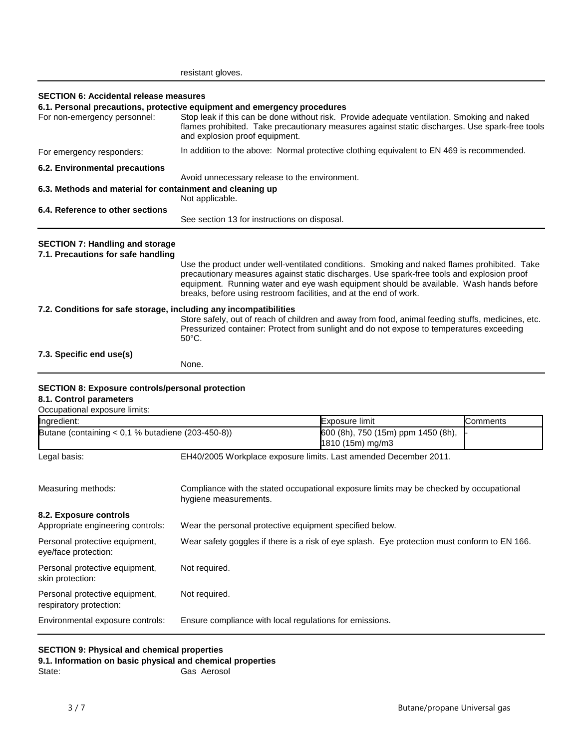|                                                                                                                     | resistant gloves.                                                                                                                                                                                                                                                                                           |                                                                                                                                                                                                                                                                                                                                                          |          |
|---------------------------------------------------------------------------------------------------------------------|-------------------------------------------------------------------------------------------------------------------------------------------------------------------------------------------------------------------------------------------------------------------------------------------------------------|----------------------------------------------------------------------------------------------------------------------------------------------------------------------------------------------------------------------------------------------------------------------------------------------------------------------------------------------------------|----------|
| <b>SECTION 6: Accidental release measures</b>                                                                       |                                                                                                                                                                                                                                                                                                             |                                                                                                                                                                                                                                                                                                                                                          |          |
| For non-emergency personnel:                                                                                        | 6.1. Personal precautions, protective equipment and emergency procedures<br>Stop leak if this can be done without risk. Provide adequate ventilation. Smoking and naked<br>flames prohibited. Take precautionary measures against static discharges. Use spark-free tools<br>and explosion proof equipment. |                                                                                                                                                                                                                                                                                                                                                          |          |
| For emergency responders:                                                                                           | In addition to the above: Normal protective clothing equivalent to EN 469 is recommended.                                                                                                                                                                                                                   |                                                                                                                                                                                                                                                                                                                                                          |          |
| 6.2. Environmental precautions                                                                                      |                                                                                                                                                                                                                                                                                                             |                                                                                                                                                                                                                                                                                                                                                          |          |
| 6.3. Methods and material for containment and cleaning up                                                           | Avoid unnecessary release to the environment.<br>Not applicable.                                                                                                                                                                                                                                            |                                                                                                                                                                                                                                                                                                                                                          |          |
| 6.4. Reference to other sections                                                                                    | See section 13 for instructions on disposal.                                                                                                                                                                                                                                                                |                                                                                                                                                                                                                                                                                                                                                          |          |
| <b>SECTION 7: Handling and storage</b><br>7.1. Precautions for safe handling                                        |                                                                                                                                                                                                                                                                                                             | Use the product under well-ventilated conditions. Smoking and naked flames prohibited. Take<br>precautionary measures against static discharges. Use spark-free tools and explosion proof<br>equipment. Running water and eye wash equipment should be available. Wash hands before<br>breaks, before using restroom facilities, and at the end of work. |          |
| 7.2. Conditions for safe storage, including any incompatibilities                                                   | $50^{\circ}$ C.                                                                                                                                                                                                                                                                                             | Store safely, out of reach of children and away from food, animal feeding stuffs, medicines, etc.<br>Pressurized container: Protect from sunlight and do not expose to temperatures exceeding                                                                                                                                                            |          |
| 7.3. Specific end use(s)                                                                                            | None.                                                                                                                                                                                                                                                                                                       |                                                                                                                                                                                                                                                                                                                                                          |          |
| <b>SECTION 8: Exposure controls/personal protection</b><br>8.1. Control parameters<br>Occupational exposure limits: |                                                                                                                                                                                                                                                                                                             |                                                                                                                                                                                                                                                                                                                                                          |          |
| Ingredient:                                                                                                         |                                                                                                                                                                                                                                                                                                             | Exposure limit                                                                                                                                                                                                                                                                                                                                           | Comments |
| Butane (containing < $0,1$ % butadiene (203-450-8))                                                                 |                                                                                                                                                                                                                                                                                                             | 600 (8h), 750 (15m) ppm 1450 (8h),<br>1810 (15m) mg/m3                                                                                                                                                                                                                                                                                                   |          |
| Legal basis:                                                                                                        |                                                                                                                                                                                                                                                                                                             | EH40/2005 Workplace exposure limits. Last amended December 2011.                                                                                                                                                                                                                                                                                         |          |
| Measuring methods:                                                                                                  | Compliance with the stated occupational exposure limits may be checked by occupational<br>hygiene measurements.                                                                                                                                                                                             |                                                                                                                                                                                                                                                                                                                                                          |          |
| 8.2. Exposure controls<br>Appropriate engineering controls:                                                         | Wear the personal protective equipment specified below.                                                                                                                                                                                                                                                     |                                                                                                                                                                                                                                                                                                                                                          |          |
| Personal protective equipment,<br>eye/face protection:                                                              | Wear safety goggles if there is a risk of eye splash. Eye protection must conform to EN 166.                                                                                                                                                                                                                |                                                                                                                                                                                                                                                                                                                                                          |          |
| Personal protective equipment,<br>skin protection:                                                                  | Not required.                                                                                                                                                                                                                                                                                               |                                                                                                                                                                                                                                                                                                                                                          |          |
| Personal protective equipment,<br>respiratory protection:                                                           | Not required.                                                                                                                                                                                                                                                                                               |                                                                                                                                                                                                                                                                                                                                                          |          |
| Environmental exposure controls:                                                                                    | Ensure compliance with local regulations for emissions.                                                                                                                                                                                                                                                     |                                                                                                                                                                                                                                                                                                                                                          |          |
|                                                                                                                     |                                                                                                                                                                                                                                                                                                             |                                                                                                                                                                                                                                                                                                                                                          |          |

# **SECTION 9: Physical and chemical properties**

**9.1. Information on basic physical and chemical properties** State: Gas Aerosol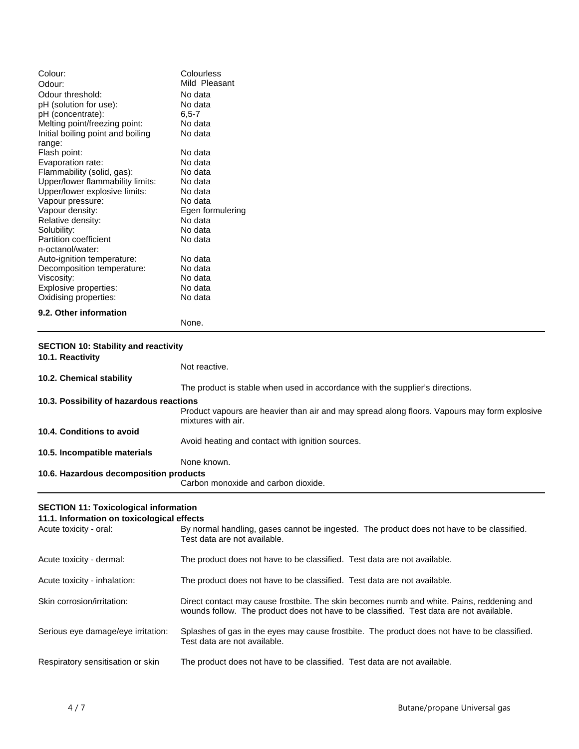| Colour:                           | Colourless       |
|-----------------------------------|------------------|
| Odour:                            | Mild Pleasant    |
| Odour threshold:                  | No data          |
| pH (solution for use):            | No data          |
| pH (concentrate):                 | $6, 5 - 7$       |
| Melting point/freezing point:     | No data          |
| Initial boiling point and boiling | No data          |
| range:                            |                  |
| Flash point:                      | No data          |
| Evaporation rate:                 | No data          |
| Flammability (solid, gas):        | No data          |
| Upper/lower flammability limits:  | No data          |
| Upper/lower explosive limits:     | No data          |
| Vapour pressure:                  | No data          |
| Vapour density:                   | Egen formulering |
| Relative density:                 | No data          |
| Solubility:                       | No data          |
| <b>Partition coefficient</b>      | No data          |
| n-octanol/water:                  |                  |
| Auto-ignition temperature:        | No data          |
| Decomposition temperature:        | No data          |
| Viscosity:                        | No data          |
| Explosive properties:             | No data          |
| Oxidising properties:             | No data          |
| 9.2. Other information            |                  |

None.

# **SECTION 10: Stability and reactivity**

| 10.1. Reactivity                         |                                                                                                                    |
|------------------------------------------|--------------------------------------------------------------------------------------------------------------------|
|                                          | Not reactive.                                                                                                      |
| 10.2. Chemical stability                 |                                                                                                                    |
|                                          | The product is stable when used in accordance with the supplier's directions.                                      |
| 10.3. Possibility of hazardous reactions |                                                                                                                    |
|                                          | Product vapours are heavier than air and may spread along floors. Vapours may form explosive<br>mixtures with air. |
| 10.4. Conditions to avoid                |                                                                                                                    |
|                                          | Avoid heating and contact with ignition sources.                                                                   |
| 10.5. Incompatible materials             |                                                                                                                    |
|                                          | None known.                                                                                                        |
| 10.6. Hazardous decomposition products   |                                                                                                                    |
|                                          | Carbon monoxide and carbon dioxide.                                                                                |

# **SECTION 11: Toxicological information**

#### **11.1. Information on toxicological effects**

| Acute toxicity - oral:             | By normal handling, gases cannot be ingested. The product does not have to be classified.<br>Test data are not available.                                                            |
|------------------------------------|--------------------------------------------------------------------------------------------------------------------------------------------------------------------------------------|
| Acute toxicity - dermal:           | The product does not have to be classified. Test data are not available.                                                                                                             |
| Acute toxicity - inhalation:       | The product does not have to be classified. Test data are not available.                                                                                                             |
| Skin corrosion/irritation:         | Direct contact may cause frostbite. The skin becomes numb and white. Pains, reddening and<br>wounds follow. The product does not have to be classified. Test data are not available. |
| Serious eye damage/eye irritation: | Splashes of gas in the eyes may cause frostbite. The product does not have to be classified.<br>Test data are not available.                                                         |
| Respiratory sensitisation or skin  | The product does not have to be classified. Test data are not available.                                                                                                             |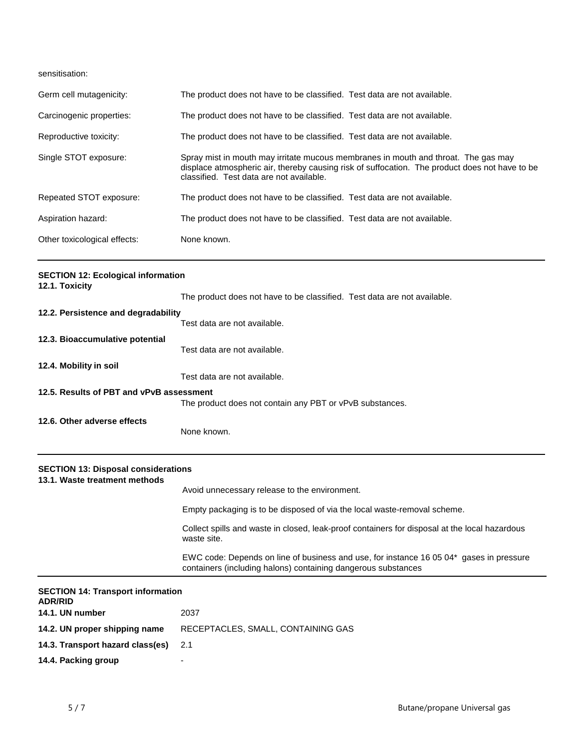sensitisation:

| Germ cell mutagenicity:      | The product does not have to be classified. Test data are not available.                                                                                                                                                         |
|------------------------------|----------------------------------------------------------------------------------------------------------------------------------------------------------------------------------------------------------------------------------|
| Carcinogenic properties:     | The product does not have to be classified. Test data are not available.                                                                                                                                                         |
| Reproductive toxicity:       | The product does not have to be classified. Test data are not available.                                                                                                                                                         |
| Single STOT exposure:        | Spray mist in mouth may irritate mucous membranes in mouth and throat. The gas may<br>displace atmospheric air, thereby causing risk of suffocation. The product does not have to be<br>classified. Test data are not available. |
| Repeated STOT exposure:      | The product does not have to be classified. Test data are not available.                                                                                                                                                         |
| Aspiration hazard:           | The product does not have to be classified. Test data are not available.                                                                                                                                                         |
| Other toxicological effects: | None known.                                                                                                                                                                                                                      |

| <b>SECTION 12: Ecological information</b><br>12.1. Toxicity                 |                                                                                                                                                          |  |  |
|-----------------------------------------------------------------------------|----------------------------------------------------------------------------------------------------------------------------------------------------------|--|--|
|                                                                             | The product does not have to be classified. Test data are not available.                                                                                 |  |  |
| 12.2. Persistence and degradability                                         |                                                                                                                                                          |  |  |
|                                                                             | Test data are not available.                                                                                                                             |  |  |
| 12.3. Bioaccumulative potential                                             | Test data are not available.                                                                                                                             |  |  |
| 12.4. Mobility in soil                                                      |                                                                                                                                                          |  |  |
|                                                                             | Test data are not available.                                                                                                                             |  |  |
| 12.5. Results of PBT and vPvB assessment                                    | The product does not contain any PBT or vPvB substances.                                                                                                 |  |  |
| 12.6. Other adverse effects                                                 | None known.                                                                                                                                              |  |  |
| <b>SECTION 13: Disposal considerations</b><br>13.1. Waste treatment methods |                                                                                                                                                          |  |  |
|                                                                             | Avoid unnecessary release to the environment.                                                                                                            |  |  |
|                                                                             | Empty packaging is to be disposed of via the local waste-removal scheme.                                                                                 |  |  |
|                                                                             | Collect spills and waste in closed, leak-proof containers for disposal at the local hazardous<br>waste site.                                             |  |  |
|                                                                             | EWC code: Depends on line of business and use, for instance 16 05 04* gases in pressure<br>containers (including halons) containing dangerous substances |  |  |

| <b>SECTION 14: Transport information</b><br><b>ADR/RID</b> |                                    |  |
|------------------------------------------------------------|------------------------------------|--|
| 14.1. UN number                                            | 2037                               |  |
| 14.2. UN proper shipping name                              | RECEPTACLES, SMALL, CONTAINING GAS |  |
| 14.3. Transport hazard class(es)                           | -2.1                               |  |
| 14.4. Packing group                                        | -                                  |  |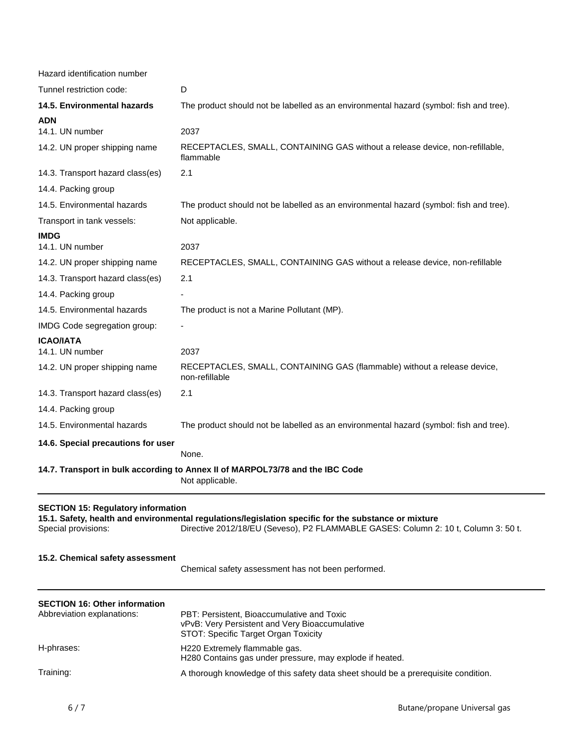| Hazard identification number                                                                                                                                                                                                                                   |                                                                                                                                      |
|----------------------------------------------------------------------------------------------------------------------------------------------------------------------------------------------------------------------------------------------------------------|--------------------------------------------------------------------------------------------------------------------------------------|
| Tunnel restriction code:                                                                                                                                                                                                                                       | D                                                                                                                                    |
| 14.5. Environmental hazards                                                                                                                                                                                                                                    | The product should not be labelled as an environmental hazard (symbol: fish and tree).                                               |
| ADN                                                                                                                                                                                                                                                            |                                                                                                                                      |
| 14.1. UN number                                                                                                                                                                                                                                                | 2037                                                                                                                                 |
| 14.2. UN proper shipping name                                                                                                                                                                                                                                  | RECEPTACLES, SMALL, CONTAINING GAS without a release device, non-refillable,<br>flammable                                            |
| 14.3. Transport hazard class(es)                                                                                                                                                                                                                               | 2.1                                                                                                                                  |
| 14.4. Packing group                                                                                                                                                                                                                                            |                                                                                                                                      |
| 14.5. Environmental hazards                                                                                                                                                                                                                                    | The product should not be labelled as an environmental hazard (symbol: fish and tree).                                               |
| Transport in tank vessels:                                                                                                                                                                                                                                     | Not applicable.                                                                                                                      |
| <b>IMDG</b>                                                                                                                                                                                                                                                    |                                                                                                                                      |
| 14.1. UN number                                                                                                                                                                                                                                                | 2037                                                                                                                                 |
| 14.2. UN proper shipping name                                                                                                                                                                                                                                  | RECEPTACLES, SMALL, CONTAINING GAS without a release device, non-refillable                                                          |
| 14.3. Transport hazard class(es)                                                                                                                                                                                                                               | 2.1                                                                                                                                  |
| 14.4. Packing group                                                                                                                                                                                                                                            |                                                                                                                                      |
| 14.5. Environmental hazards                                                                                                                                                                                                                                    | The product is not a Marine Pollutant (MP).                                                                                          |
| IMDG Code segregation group:                                                                                                                                                                                                                                   |                                                                                                                                      |
| <b>ICAO/IATA</b>                                                                                                                                                                                                                                               |                                                                                                                                      |
| 14.1. UN number                                                                                                                                                                                                                                                | 2037                                                                                                                                 |
| 14.2. UN proper shipping name                                                                                                                                                                                                                                  | RECEPTACLES, SMALL, CONTAINING GAS (flammable) without a release device,<br>non-refillable                                           |
| 14.3. Transport hazard class(es)                                                                                                                                                                                                                               | 2.1                                                                                                                                  |
| 14.4. Packing group                                                                                                                                                                                                                                            |                                                                                                                                      |
| 14.5. Environmental hazards                                                                                                                                                                                                                                    | The product should not be labelled as an environmental hazard (symbol: fish and tree).                                               |
| 14.6. Special precautions for user                                                                                                                                                                                                                             |                                                                                                                                      |
|                                                                                                                                                                                                                                                                | None.                                                                                                                                |
|                                                                                                                                                                                                                                                                | 14.7. Transport in bulk according to Annex II of MARPOL73/78 and the IBC Code<br>Not applicable.                                     |
| <b>SECTION 15: Regulatory information</b><br>15.1. Safety, health and environmental regulations/legislation specific for the substance or mixture<br>Special provisions:<br>Directive 2012/18/EU (Seveso), P2 FLAMMABLE GASES: Column 2: 10 t, Column 3: 50 t. |                                                                                                                                      |
| 15.2. Chemical safety assessment                                                                                                                                                                                                                               | Chemical safety assessment has not been performed.                                                                                   |
| <b>SECTION 16: Other information</b>                                                                                                                                                                                                                           |                                                                                                                                      |
| Abbreviation explanations:                                                                                                                                                                                                                                     | PBT: Persistent, Bioaccumulative and Toxic<br>vPvB: Very Persistent and Very Bioaccumulative<br>STOT: Specific Target Organ Toxicity |
| H-phrases:                                                                                                                                                                                                                                                     | H220 Extremely flammable gas.<br>H280 Contains gas under pressure, may explode if heated.                                            |
| Training:                                                                                                                                                                                                                                                      | A thorough knowledge of this safety data sheet should be a prerequisite condition.                                                   |
|                                                                                                                                                                                                                                                                |                                                                                                                                      |